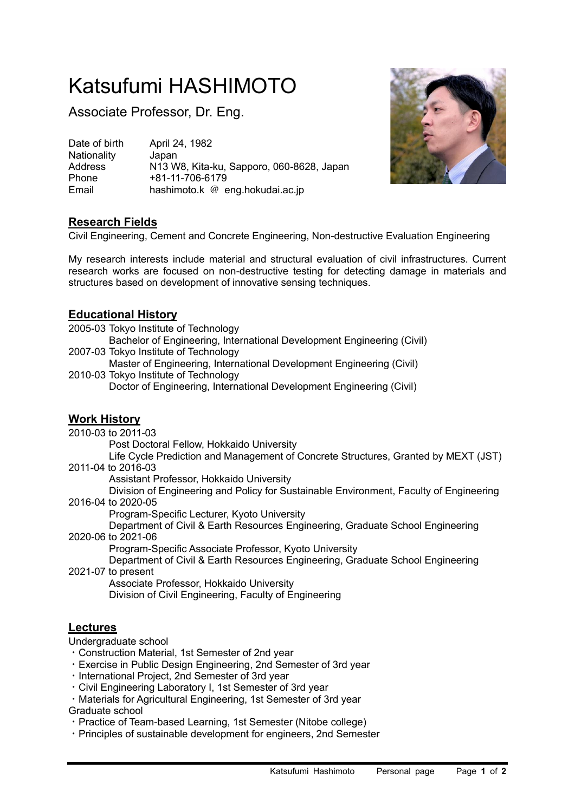# Katsufumi HASHIMOTO

Associate Professor, Dr. Eng.

Date of birth April 24, 1982 Nationality Japan<br>Address N13 W Address N13 W8, Kita-ku, Sapporo, 060-8628, Japan<br>Phone +81-11-706-6179 Phone +81-11-706-6179 Email hashimoto.k @ eng.hokudai.ac.jp



# **Research Fields**

Civil Engineering, Cement and Concrete Engineering, Non-destructive Evaluation Engineering

My research interests include material and structural evaluation of civil infrastructures. Current research works are focused on non-destructive testing for detecting damage in materials and structures based on development of innovative sensing techniques.

### **Educational History**

2005-03 Tokyo Institute of Technology

Bachelor of Engineering, International Development Engineering (Civil) 2007-03 Tokyo Institute of Technology

Master of Engineering, International Development Engineering (Civil)

2010-03 Tokyo Institute of Technology

Doctor of Engineering, International Development Engineering (Civil)

# **Work History**

2010-03 to 2011-03

Post Doctoral Fellow, Hokkaido University

Life Cycle Prediction and Management of Concrete Structures, Granted by MEXT (JST) 2011-04 to 2016-03

Assistant Professor, Hokkaido University

Division of Engineering and Policy for Sustainable Environment, Faculty of Engineering 2016-04 to 2020-05

Program-Specific Lecturer, Kyoto University

Department of Civil & Earth Resources Engineering, Graduate School Engineering 2020-06 to 2021-06

Program-Specific Associate Professor, Kyoto University

Department of Civil & Earth Resources Engineering, Graduate School Engineering 2021-07 to present

Associate Professor, Hokkaido University Division of Civil Engineering, Faculty of Engineering

#### **Lectures**

Undergraduate school

- ・Construction Material, 1st Semester of 2nd year
- ・Exercise in Public Design Engineering, 2nd Semester of 3rd year
- ・International Project, 2nd Semester of 3rd year
- ・Civil Engineering Laboratory I, 1st Semester of 3rd year
- ・Materials for Agricultural Engineering, 1st Semester of 3rd year

#### Graduate school

- ・Practice of Team-based Learning, 1st Semester (Nitobe college)
- ・Principles of sustainable development for engineers, 2nd Semester